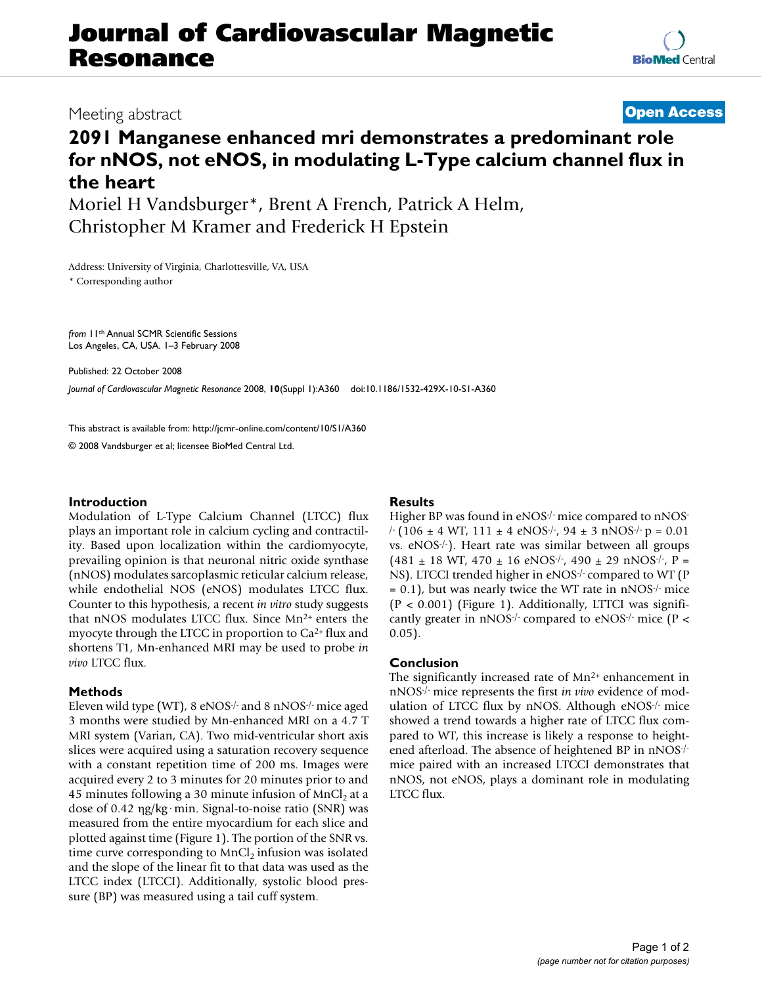# **Journal of Cardiovascular Magnetic Resonance**

### Meeting abstract **[Open Access](http://www.biomedcentral.com/info/about/charter/)**

## **2091 Manganese enhanced mri demonstrates a predominant role for nNOS, not eNOS, in modulating L-Type calcium channel flux in the heart**

Moriel H Vandsburger\*, Brent A French, Patrick A Helm, Christopher M Kramer and Frederick H Epstein

Address: University of Virginia, Charlottesville, VA, USA \* Corresponding author

*from* 11th Annual SCMR Scientific Sessions Los Angeles, CA, USA. 1–3 February 2008

Published: 22 October 2008 *Journal of Cardiovascular Magnetic Resonance* 2008, **10**(Suppl 1):A360 doi:10.1186/1532-429X-10-S1-A360

[This abstract is available from: http://jcmr-online.com/content/10/S1/A360](http://jcmr-online.com/content/10/S1/A360)

© 2008 Vandsburger et al; licensee BioMed Central Ltd.

#### **Introduction**

Modulation of L-Type Calcium Channel (LTCC) flux plays an important role in calcium cycling and contractility. Based upon localization within the cardiomyocyte, prevailing opinion is that neuronal nitric oxide synthase (nNOS) modulates sarcoplasmic reticular calcium release, while endothelial NOS (eNOS) modulates LTCC flux. Counter to this hypothesis, a recent *in vitro* study suggests that nNOS modulates LTCC flux. Since Mn<sup>2+</sup> enters the myocyte through the LTCC in proportion to Ca2+ flux and shortens T1, Mn-enhanced MRI may be used to probe *in vivo* LTCC flux.

#### **Methods**

Eleven wild type (WT), 8 eNOS-/- and 8 nNOS-/- mice aged 3 months were studied by Mn-enhanced MRI on a 4.7 T MRI system (Varian, CA). Two mid-ventricular short axis slices were acquired using a saturation recovery sequence with a constant repetition time of 200 ms. Images were acquired every 2 to 3 minutes for 20 minutes prior to and 45 minutes following a 30 minute infusion of  $MnCl<sub>2</sub>$  at a dose of 0.42 ηg/kg·min. Signal-to-noise ratio (SNR) was measured from the entire myocardium for each slice and plotted against time (Figure 1). The portion of the SNR vs. time curve corresponding to  $MnCl<sub>2</sub>$  infusion was isolated and the slope of the linear fit to that data was used as the LTCC index (LTCCI). Additionally, systolic blood pressure (BP) was measured using a tail cuff system.

#### **Results**

Higher BP was found in eNOS<sup>-/-</sup> mice compared to nNOS- $/-(106 \pm 4 \text{ WT}, 111 \pm 4 \text{ eNOS}^{\frac{1}{7}})$ , 94  $\pm$  3 nNOS<sup>-/-</sup> p = 0.01 vs. eNOS-/-). Heart rate was similar between all groups  $(481 \pm 18 \text{ WT}, 470 \pm 16 \text{ eNOS}^{-1}, 490 \pm 29 \text{ nNOS}^{-1}, P =$ NS). LTCCI trended higher in eNOS<sup>-/-</sup> compared to WT (P  $= 0.1$ ), but was nearly twice the WT rate in nNOS $\cdot$  mice  $(P < 0.001)$  (Figure 1). Additionally, LTTCI was significantly greater in  $nNOS/-$  compared to  $eNOS/-$  mice (P < 0.05).

### **Conclusion**

The significantly increased rate of  $Mn^{2+}$  enhancement in nNOS-/- mice represents the first *in vivo* evidence of modulation of LTCC flux by nNOS. Although eNOS-/- mice showed a trend towards a higher rate of LTCC flux compared to WT, this increase is likely a response to heightened afterload. The absence of heightened BP in nNOS-/ mice paired with an increased LTCCI demonstrates that nNOS, not eNOS, plays a dominant role in modulating LTCC flux.